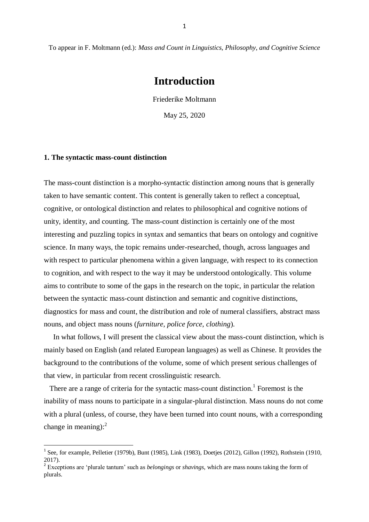To appear in F. Moltmann (ed.): *Mass and Count in Linguistics, Philosophy, and Cognitive Science*

# **Introduction**

Friederike Moltmann

May 25, 2020

#### **1. The syntactic mass-count distinction**

**.** 

The mass-count distinction is a morpho-syntactic distinction among nouns that is generally taken to have semantic content. This content is generally taken to reflect a conceptual, cognitive, or ontological distinction and relates to philosophical and cognitive notions of unity, identity, and counting. The mass-count distinction is certainly one of the most interesting and puzzling topics in syntax and semantics that bears on ontology and cognitive science. In many ways, the topic remains under-researched, though, across languages and with respect to particular phenomena within a given language, with respect to its connection to cognition, and with respect to the way it may be understood ontologically. This volume aims to contribute to some of the gaps in the research on the topic, in particular the relation between the syntactic mass-count distinction and semantic and cognitive distinctions, diagnostics for mass and count, the distribution and role of numeral classifiers, abstract mass nouns, and object mass nouns (*furniture, police force*, *clothing*).

 In what follows, I will present the classical view about the mass-count distinction, which is mainly based on English (and related European languages) as well as Chinese. It provides the background to the contributions of the volume, some of which present serious challenges of that view, in particular from recent crosslinguistic research.

There are a range of criteria for the syntactic mass-count distinction.<sup>1</sup> Foremost is the inability of mass nouns to participate in a singular-plural distinction. Mass nouns do not come with a plural (unless, of course, they have been turned into count nouns, with a corresponding change in meaning): $<sup>2</sup>$ </sup>

<sup>&</sup>lt;sup>1</sup> See, for example, Pelletier (1979b), Bunt (1985), Link (1983), Doetjes (2012), Gillon (1992), Rothstein (1910, 2017).

<sup>2</sup> Exceptions are 'plurale tantum' such as *belongings* or *shavings*, which are mass nouns taking the form of plurals.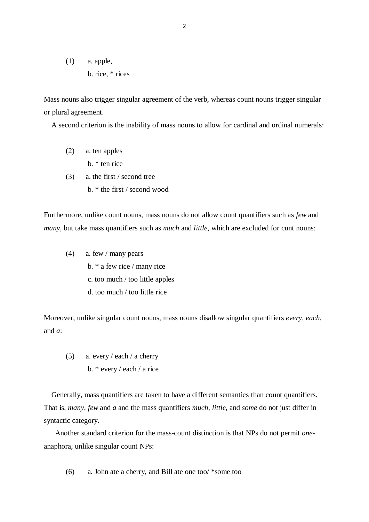(1) a. apple, b. rice, \* rices

Mass nouns also trigger singular agreement of the verb, whereas count nouns trigger singular or plural agreement.

A second criterion is the inability of mass nouns to allow for cardinal and ordinal numerals:

- (2) a. ten apples b. \* ten rice
- (3) a. the first / second tree b. \* the first / second wood

Furthermore, unlike count nouns, mass nouns do not allow count quantifiers such as *few* and *many*, but take mass quantifiers such as *much* and *little*, which are excluded for cunt nouns:

(4) a. few / many pears b. \* a few rice / many rice c. too much / too little apples d. too much / too little rice

Moreover, unlike singular count nouns, mass nouns disallow singular quantifiers *every, each*, and *a*:

(5) a. every / each / a cherry b. \* every / each / a rice

 Generally, mass quantifiers are taken to have a different semantics than count quantifiers. That is, *many, few* and *a* and the mass quantifiers *much*, *little*, and *some* do not just differ in syntactic category.

 Another standard criterion for the mass-count distinction is that NPs do not permit *one*anaphora, unlike singular count NPs:

(6) a. John ate a cherry, and Bill ate one too/ \*some too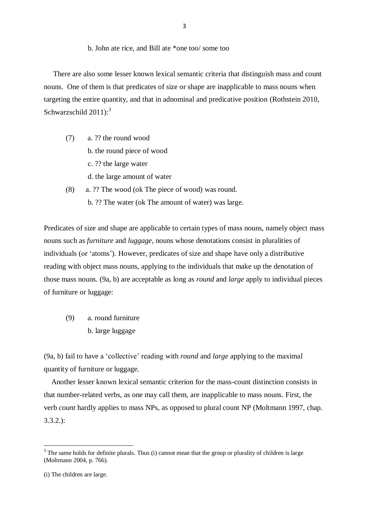b. John ate rice, and Bill ate \*one too/ some too

 There are also some lesser known lexical semantic criteria that distinguish mass and count nouns. One of them is that predicates of size or shape are inapplicable to mass nouns when targeting the entire quantity, and that in adnominal and predicative position (Rothstein 2010, Schwarzschild 2011):<sup>3</sup>

- (7) a. ?? the round wood b. the round piece of wood c. ?? the large water d. the large amount of water
- (8) a. ?? The wood (ok The piece of wood) was round. b. ?? The water (ok The amount of water) was large.

Predicates of size and shape are applicable to certain types of mass nouns, namely object mass nouns such as *furniture* and *luggage*, nouns whose denotations consist in pluralities of individuals (or 'atoms'). However, predicates of size and shape have only a distributive reading with object mass nouns, applying to the individuals that make up the denotation of those mass nouns. (9a, b) are acceptable as long as *round* and *large* apply to individual pieces of furniture or luggage:

(9) a. round furniture b. large luggage

(9a, b) fail to have a 'collective' reading with *round* and *large* applying to the maximal quantity of furniture or luggage.

 Another lesser known lexical semantic criterion for the mass-count distinction consists in that number-related verbs, as one may call them, are inapplicable to mass nouns. First, the verb *count* hardly applies to mass NPs, as opposed to plural count NP (Moltmann 1997, chap. 3.3.2.):

**.** 

<sup>&</sup>lt;sup>3</sup> The same holds for definite plurals. Thus (i) cannot mean that the group or plurality of children is large (Moltmann 2004, p. 766).

<sup>(</sup>i) The children are large.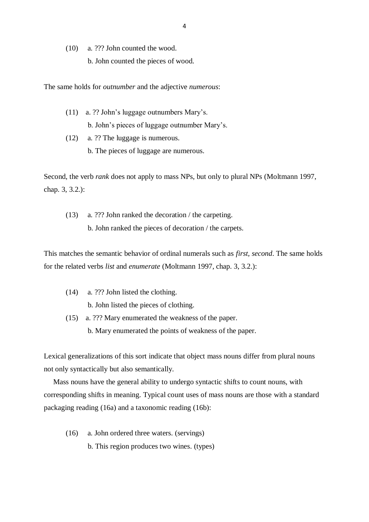(10) a. ??? John counted the wood.

b. John counted the pieces of wood.

The same holds for *outnumber* and the adjective *numerous*:

(11) a. ?? John's luggage outnumbers Mary's.

b. John's pieces of luggage outnumber Mary's.

- (12) a. ?? The luggage is numerous.
	- b. The pieces of luggage are numerous.

Second, the verb *rank* does not apply to mass NPs, but only to plural NPs (Moltmann 1997, chap. 3, 3.2.):

(13) a. ??? John ranked the decoration / the carpeting. b. John ranked the pieces of decoration / the carpets.

This matches the semantic behavior of ordinal numerals such as *first, second*. The same holds for the related verbs *list* and *enumerate* (Moltmann 1997, chap. 3, 3.2.):

- (14) a. ??? John listed the clothing. b. John listed the pieces of clothing.
- (15) a. ??? Mary enumerated the weakness of the paper.
	- b. Mary enumerated the points of weakness of the paper.

Lexical generalizations of this sort indicate that object mass nouns differ from plural nouns not only syntactically but also semantically.

 Mass nouns have the general ability to undergo syntactic shifts to count nouns, with corresponding shifts in meaning. Typical count uses of mass nouns are those with a standard packaging reading (16a) and a taxonomic reading (16b):

(16) a. John ordered three waters. (servings) b. This region produces two wines. (types)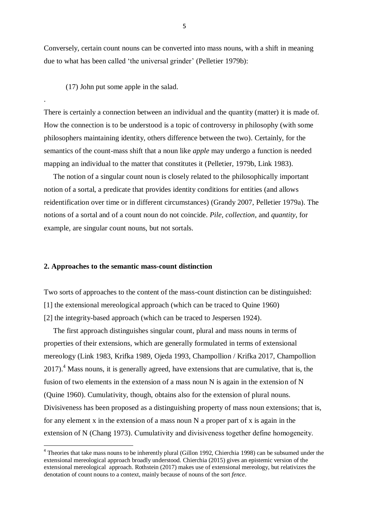Conversely, certain count nouns can be converted into mass nouns, with a shift in meaning due to what has been called 'the universal grinder' (Pelletier 1979b):

(17) John put some apple in the salad.

.

**.** 

There is certainly a connection between an individual and the quantity (matter) it is made of. How the connection is to be understood is a topic of controversy in philosophy (with some philosophers maintaining identity, others difference between the two). Certainly, for the semantics of the count-mass shift that a noun like *apple* may undergo a function is needed mapping an individual to the matter that constitutes it (Pelletier, 1979b, Link 1983).

 The notion of a singular count noun is closely related to the philosophically important notion of a sortal, a predicate that provides identity conditions for entities (and allows reidentification over time or in different circumstances) (Grandy 2007, Pelletier 1979a). The notions of a sortal and of a count noun do not coincide. *Pile, collection*, and *quantity*, for example, are singular count nouns, but not sortals.

#### **2. Approaches to the semantic mass-count distinction**

Two sorts of approaches to the content of the mass-count distinction can be distinguished: [1] the extensional mereological approach (which can be traced to Quine 1960) [2] the integrity-based approach (which can be traced to Jespersen 1924).

 The first approach distinguishes singular count, plural and mass nouns in terms of properties of their extensions, which are generally formulated in terms of extensional mereology (Link 1983, Krifka 1989, Ojeda 1993, Champollion / Krifka 2017, Champollion  $2017$ ).<sup>4</sup> Mass nouns, it is generally agreed, have extensions that are cumulative, that is, the fusion of two elements in the extension of a mass noun N is again in the extension of N (Quine 1960). Cumulativity, though, obtains also for the extension of plural nouns. Divisiveness has been proposed as a distinguishing property of mass noun extensions; that is, for any element x in the extension of a mass noun N a proper part of x is again in the extension of N (Chang 1973). Cumulativity and divisiveness together define homogeneity.

<sup>&</sup>lt;sup>4</sup> Theories that take mass nouns to be inherently plural (Gillon 1992, Chierchia 1998) can be subsumed under the extensional mereological approach broadly understood. Chierchia (2015) gives an epistemic version of the extensional mereological approach. Rothstein (2017) makes use of extensional mereology, but relativizes the denotation of count nouns to a context, mainly because of nouns of the sort *fence*.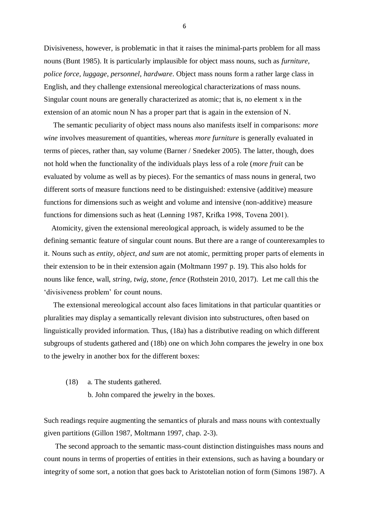Divisiveness, however, is problematic in that it raises the minimal-parts problem for all mass nouns (Bunt 1985). It is particularly implausible for object mass nouns, such as *furniture, police force, luggage*, *personnel*, *hardware*. Object mass nouns form a rather large class in English, and they challenge extensional mereological characterizations of mass nouns. Singular count nouns are generally characterized as atomic; that is, no element x in the extension of an atomic noun N has a proper part that is again in the extension of N.

 The semantic peculiarity of object mass nouns also manifests itself in comparisons: *more wine* involves measurement of quantities, whereas *more furniture* is generally evaluated in terms of pieces, rather than, say volume (Barner / Snedeker 2005). The latter, though, does not hold when the functionality of the individuals plays less of a role (*more fruit* can be evaluated by volume as well as by pieces). For the semantics of mass nouns in general, two different sorts of measure functions need to be distinguished: extensive (additive) measure functions for dimensions such as weight and volume and intensive (non-additive) measure functions for dimensions such as heat (Lønning 1987, Krifka 1998, Tovena 2001).

 Atomicity, given the extensional mereological approach, is widely assumed to be the defining semantic feature of singular count nouns. But there are a range of counterexamples to it. Nouns such as *entity, object, and sum* are not atomic, permitting proper parts of elements in their extension to be in their extension again (Moltmann 1997 p. 19). This also holds for nouns like fence, wall, *string, twig, stone, fence* (Rothstein 2010, 2017). Let me call this the 'divisiveness problem' for count nouns.

 The extensional mereological account also faces limitations in that particular quantities or pluralities may display a semantically relevant division into substructures, often based on linguistically provided information. Thus, (18a) has a distributive reading on which different subgroups of students gathered and (18b) one on which John compares the jewelry in one box to the jewelry in another box for the different boxes:

(18) a. The students gathered.

b. John compared the jewelry in the boxes.

Such readings require augmenting the semantics of plurals and mass nouns with contextually given partitions (Gillon 1987, Moltmann 1997, chap. 2-3).

 The second approach to the semantic mass-count distinction distinguishes mass nouns and count nouns in terms of properties of entities in their extensions, such as having a boundary or integrity of some sort, a notion that goes back to Aristotelian notion of form (Simons 1987). A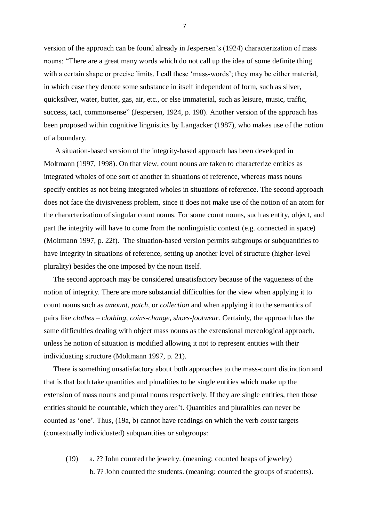version of the approach can be found already in Jespersen's (1924) characterization of mass nouns: "There are a great many words which do not call up the idea of some definite thing with a certain shape or precise limits. I call these 'mass-words'; they may be either material, in which case they denote some substance in itself independent of form, such as silver, quicksilver, water, butter, gas, air, etc., or else immaterial, such as leisure, music, traffic, success, tact, commonsense" (Jespersen, 1924, p. 198). Another version of the approach has been proposed within cognitive linguistics by Langacker (1987), who makes use of the notion of a boundary.

 A situation-based version of the integrity-based approach has been developed in Moltmann (1997, 1998). On that view, count nouns are taken to characterize entities as integrated wholes of one sort of another in situations of reference, whereas mass nouns specify entities as not being integrated wholes in situations of reference. The second approach does not face the divisiveness problem, since it does not make use of the notion of an atom for the characterization of singular count nouns. For some count nouns, such as entity, object, and part the integrity will have to come from the nonlinguistic context (e.g. connected in space) (Moltmann 1997, p. 22f). The situation-based version permits subgroups or subquantities to have integrity in situations of reference, setting up another level of structure (higher-level plurality) besides the one imposed by the noun itself.

 The second approach may be considered unsatisfactory because of the vagueness of the notion of integrity. There are more substantial difficulties for the view when applying it to count nouns such as *amount, patch*, or *collection* and when applying it to the semantics of pairs like *clothes – clothing, coins-change, shoes-footwear.* Certainly, the approach has the same difficulties dealing with object mass nouns as the extensional mereological approach, unless he notion of situation is modified allowing it not to represent entities with their individuating structure (Moltmann 1997, p. 21).

 There is something unsatisfactory about both approaches to the mass-count distinction and that is that both take quantities and pluralities to be single entities which make up the extension of mass nouns and plural nouns respectively. If they are single entities, then those entities should be countable, which they aren't. Quantities and pluralities can never be counted as 'one'. Thus, (19a, b) cannot have readings on which the verb *count* targets (contextually individuated) subquantities or subgroups:

(19) a. ?? John counted the jewelry. (meaning: counted heaps of jewelry) b. ?? John counted the students. (meaning: counted the groups of students).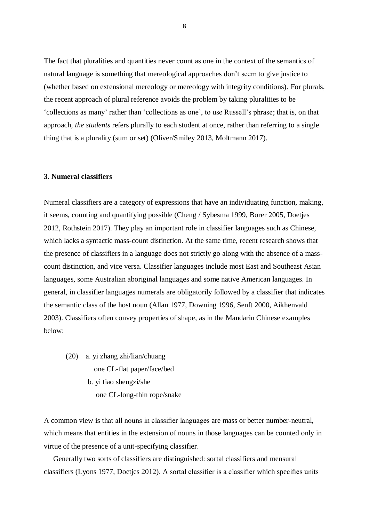The fact that pluralities and quantities never count as one in the context of the semantics of natural language is something that mereological approaches don't seem to give justice to (whether based on extensional mereology or mereology with integrity conditions). For plurals, the recent approach of plural reference avoids the problem by taking pluralities to be 'collections as many' rather than 'collections as one', to use Russell's phrase; that is, on that approach, *the students* refers plurally to each student at once, rather than referring to a single thing that is a plurality (sum or set) (Oliver/Smiley 2013, Moltmann 2017).

#### **3. Numeral classifiers**

Numeral classifiers are a category of expressions that have an individuating function, making, it seems, counting and quantifying possible (Cheng / Sybesma 1999, Borer 2005, Doetjes 2012, Rothstein 2017). They play an important role in classifier languages such as Chinese, which lacks a syntactic mass-count distinction. At the same time, recent research shows that the presence of classifiers in a language does not strictly go along with the absence of a masscount distinction, and vice versa. Classifier languages include most East and Southeast Asian languages, some Australian aboriginal languages and some native American languages. In general, in classifier languages numerals are obligatorily followed by a classifier that indicates the semantic class of the host noun (Allan 1977, Downing 1996, Senft 2000, Aikhenvald 2003). Classifiers often convey properties of shape, as in the Mandarin Chinese examples below:

(20) a. yi zhang zhi/lian/chuang one CL-flat paper/face/bed b. yi tiao shengzi/she one CL-long-thin rope/snake

A common view is that all nouns in classifier languages are mass or better number-neutral, which means that entities in the extension of nouns in those languages can be counted only in virtue of the presence of a unit-specifying classifier.

 Generally two sorts of classifiers are distinguished: sortal classifiers and mensural classifiers (Lyons 1977, Doetjes 2012). A sortal classifier is a classifier which specifies units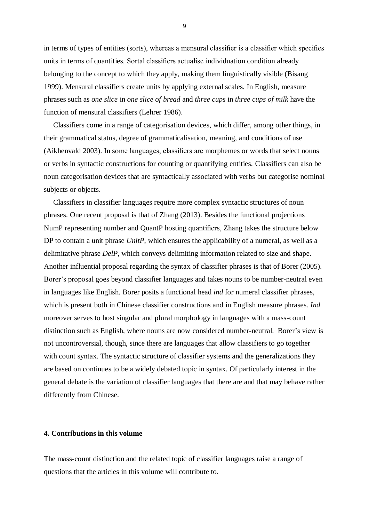in terms of types of entities (sorts), whereas a mensural classifier is a classifier which specifies units in terms of quantities. Sortal classifiers actualise individuation condition already belonging to the concept to which they apply, making them linguistically visible (Bisang 1999). Mensural classifiers create units by applying external scales. In English, measure phrases such as *one slice* in *one slice of bread* and *three cups* in *three cups of milk* have the function of mensural classifiers (Lehrer 1986).

 Classifiers come in a range of categorisation devices, which differ, among other things, in their grammatical status, degree of grammaticalisation, meaning, and conditions of use (Aikhenvald 2003). In some languages, classifiers are morphemes or words that select nouns or verbs in syntactic constructions for counting or quantifying entities. Classifiers can also be noun categorisation devices that are syntactically associated with verbs but categorise nominal subjects or objects.

 Classifiers in classifier languages require more complex syntactic structures of noun phrases. One recent proposal is that of Zhang (2013). Besides the functional projections NumP representing number and QuantP hosting quantifiers, Zhang takes the structure below DP to contain a unit phrase *UnitP*, which ensures the applicability of a numeral, as well as a delimitative phrase *DelP*, which conveys delimiting information related to size and shape. Another influential proposal regarding the syntax of classifier phrases is that of Borer (2005). Borer's proposal goes beyond classifier languages and takes nouns to be number-neutral even in languages like English. Borer posits a functional head *ind* for numeral classifier phrases, which is present both in Chinese classifier constructions and in English measure phrases. *Ind* moreover serves to host singular and plural morphology in languages with a mass-count distinction such as English, where nouns are now considered number-neutral. Borer's view is not uncontroversial, though, since there are languages that allow classifiers to go together with count syntax. The syntactic structure of classifier systems and the generalizations they are based on continues to be a widely debated topic in syntax. Of particularly interest in the general debate is the variation of classifier languages that there are and that may behave rather differently from Chinese.

## **4. Contributions in this volume**

The mass-count distinction and the related topic of classifier languages raise a range of questions that the articles in this volume will contribute to.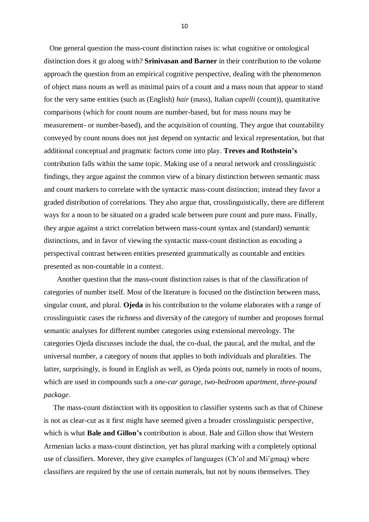One general question the mass-count distinction raises is: what cognitive or ontological distinction does it go along with? **Srinivasan and Barner** in their contribution to the volume approach the question from an empirical cognitive perspective, dealing with the phenomenon of object mass nouns as well as minimal pairs of a count and a mass noun that appear to stand for the very same entities (such as (English) *hair* (mass), Italian *capelli* (count)), quantitative comparisons (which for count nouns are number-based, but for mass nouns may be measurement- or number-based), and the acquisition of counting. They argue that countability conveyed by count nouns does not just depend on syntactic and lexical representation, but that additional conceptual and pragmatic factors come into play. **Treves and Rothstein's** contribution falls within the same topic. Making use of a neural network and crosslinguistic findings, they argue against the common view of a binary distinction between semantic mass and count markers to correlate with the syntactic mass-count distinction; instead they favor a graded distribution of correlations. They also argue that, crosslinguistically, there are different ways for a noun to be situated on a graded scale between pure count and pure mass. Finally, they argue against a strict correlation between mass-count syntax and (standard) semantic distinctions, and in favor of viewing the syntactic mass-count distinction as encoding a perspectival contrast between entities presented grammatically as countable and entities presented as non-countable in a context.

 Another question that the mass-count distinction raises is that of the classification of categories of number itself. Most of the literature is focused on the distinction between mass, singular count, and plural. **Ojeda** in his contribution to the volume elaborates with a range of crosslinguistic cases the richness and diversity of the category of number and proposes formal semantic analyses for different number categories using extensional mereology. The categories Ojeda discusses include the dual, the co-dual, the paucal, and the multal, and the universal number, a category of nouns that applies to both individuals and pluralities. The latter, surprisingly, is found in English as well, as Ojeda points out, namely in roots of nouns, which are used in compounds such a *one-car garage, two-bedroom apartment, three-pound package*.

 The mass-count distinction with its opposition to classifier systems such as that of Chinese is not as clear-cut as it first might have seemed given a broader crosslinguistic perspective, which is what **Bale and Gillon's** contribution is about. Bale and Gillon show that Western Armenian lacks a mass-count distinction, yet has plural marking with a completely optional use of classifiers. Morever, they give examples of languages (Ch'ol and Mi'gmaq) where classifiers are required by the use of certain numerals, but not by nouns themselves. They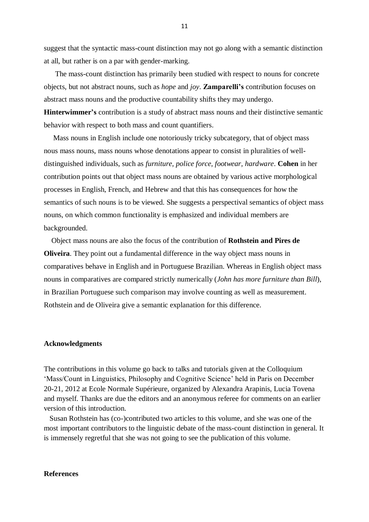suggest that the syntactic mass-count distinction may not go along with a semantic distinction at all, but rather is on a par with gender-marking.

 The mass-count distinction has primarily been studied with respect to nouns for concrete objects, but not abstract nouns, such as *hope* and *joy*. **Zamparelli's** contribution focuses on abstract mass nouns and the productive countability shifts they may undergo.

**Hinterwimmer's** contribution is a study of abstract mass nouns and their distinctive semantic behavior with respect to both mass and count quantifiers.

 Mass nouns in English include one notoriously tricky subcategory, that of object mass nous mass nouns, mass nouns whose denotations appear to consist in pluralities of welldistinguished individuals, such as *furniture, police force, footwear, hardware*. **Cohen** in her contribution points out that object mass nouns are obtained by various active morphological processes in English, French, and Hebrew and that this has consequences for how the semantics of such nouns is to be viewed. She suggests a perspectival semantics of object mass nouns, on which common functionality is emphasized and individual members are backgrounded.

 Object mass nouns are also the focus of the contribution of **Rothstein and Pires de Oliveira**. They point out a fundamental difference in the way object mass nouns in comparatives behave in English and in Portuguese Brazilian. Whereas in English object mass nouns in comparatives are compared strictly numerically (*John has more furniture than Bill*), in Brazilian Portuguese such comparison may involve counting as well as measurement. Rothstein and de Oliveira give a semantic explanation for this difference.

### **Acknowledgments**

The contributions in this volume go back to talks and tutorials given at the Colloquium 'Mass/Count in Linguistics, Philosophy and Cognitive Science' held in Paris on December 20-21, 2012 at Ecole Normale Supérieure, organized by Alexandra Arapinis, Lucia Tovena and myself. Thanks are due the editors and an anonymous referee for comments on an earlier version of this introduction.

 Susan Rothstein has (co-)contributed two articles to this volume, and she was one of the most important contributors to the linguistic debate of the mass-count distinction in general. It is immensely regretful that she was not going to see the publication of this volume.

#### **References**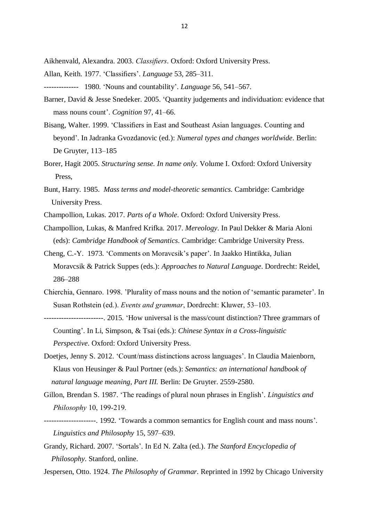- Aikhenvald, Alexandra. 2003. *Classifiers*. Oxford: Oxford University Press.
- Allan, Keith. 1977. 'Classifiers'. *Language* 53, 285–311.
- -------------- 1980. 'Nouns and countability'. *Language* 56, 541–567.
- Barner, David & Jesse Snedeker. 2005. 'Quantity judgements and individuation: evidence that mass nouns count'. *Cognition* 97, 41–66.
- Bisang, Walter. 1999. 'Classifiers in East and Southeast Asian languages. Counting and beyond'. In Jadranka Gvozdanovic (ed.): *Numeral types and changes worldwide*. Berlin: De Gruyter, 113–185
- Borer, Hagit 2005. *Structuring sense. In name only*. Volume I. Oxford: Oxford University Press,
- Bunt, Harry. 1985. *Mass terms and model-theoretic semantics*. Cambridge: Cambridge University Press.
- Champollion, Lukas. 2017. *Parts of a Whole*. Oxford: Oxford University Press.
- Champollion, Lukas, & Manfred Krifka. 2017. *Mereology*. In Paul Dekker & Maria Aloni (eds): *Cambridge Handbook of Semantics*. Cambridge: Cambridge University Press.
- Cheng, C.-Y. 1973. 'Comments on Moravcsik's paper'. In Jaakko Hintikka, Julian Moravcsik & Patrick Suppes (eds.): *Approaches to Natural Language*. Dordrecht: Reidel, 286–288
- Chierchia, Gennaro. 1998. 'Plurality of mass nouns and the notion of 'semantic parameter'. In Susan Rothstein (ed.). *Events and grammar*, Dordrecht: Kluwer, 53–103.
- ------------------------. 2015. 'How universal is the mass/count distinction? Three grammars of Counting'. In Li, Simpson, & Tsai (eds.): *Chinese Syntax in a Cross-linguistic Perspective*. Oxford: Oxford University Press.
- Doetjes, Jenny S. 2012. 'Count/mass distinctions across languages'. In Claudia Maienborn, Klaus von Heusinger & Paul Portner (eds.): *Semantics: an international handbook of natural language meaning, Part III.* Berlin: De Gruyter. 2559-2580.
- Gillon, Brendan S. 1987. 'The readings of plural noun phrases in English'*. Linguistics and Philosophy* 10, 199-219.
- ---------------------. 1992. 'Towards a common semantics for English count and mass nouns'. *Linguistics and Philosophy* 15, 597–639.
- Grandy, Richard. 2007. 'Sortals'. In Ed N. Zalta (ed.). *The Stanford Encyclopedia of Philosophy*. Stanford, online.
- Jespersen, Otto. 1924. *The Philosophy of Grammar*. Reprinted in 1992 by Chicago University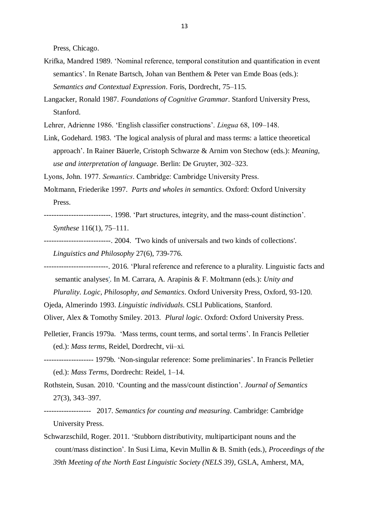Press, Chicago.

- Krifka, Mandred 1989. 'Nominal reference, temporal constitution and quantification in event semantics'. In Renate Bartsch, Johan van Benthem & Peter van Emde Boas (eds.): *Semantics and Contextual Expression*. Foris, Dordrecht, 75–115.
- Langacker, Ronald 1987. *Foundations of Cognitive Grammar*. Stanford University Press, Stanford.
- Lehrer, Adrienne 1986. 'English classifier constructions'. *Lingua* 68, 109–148.
- Link, Godehard. 1983. 'The logical analysis of plural and mass terms: a lattice theoretical approach'. In Rainer Bäuerle, Cristoph Schwarze & Arnim von Stechow (eds.): *Meaning, use and interpretation of language*. Berlin: De Gruyter, 302–323.

Lyons, John. 1977. *Semantics*. Cambridge: Cambridge University Press.

Moltmann, Friederike 1997. *Parts and wholes in semantics*. Oxford: Oxford University Press.

---------------------------. 1998. 'Part structures, integrity, and the mass-count distinction'.

*Synthese* 116(1), 75–111.

---------------------------. 2004. 'Two kinds of universals and two kinds of collections'. *Linguistics and Philosophy* 27(6), 739-776.

--------------------------. 2016. 'Plural reference and reference to a plurality. Linguistic facts and semantic analyse[s'.](http://friederike-moltmann.com/uploads/plural-reference-paper-2015.doc) In M. Carrara, A. Arapinis & F. Moltmann (eds.): *Unity and* 

 *Plurality. Logic, Philosophy, and Semantics*. Oxford University Press, Oxford, 93-120.

Ojeda, Almerindo 1993. *Linguistic individuals*. CSLI Publications, Stanford.

Oliver, Alex & Tomothy Smiley. 2013. *Plural logic*. Oxford: Oxford University Press.

- Pelletier, Francis 1979a. 'Mass terms, count terms, and sortal terms'. In Francis Pelletier (ed.): *Mass terms*, Reidel, Dordrecht, vii–xi.
- -------------------- 1979b. 'Non-singular reference: Some preliminaries'. In Francis Pelletier (ed.): *Mass Terms*, Dordrecht: Reidel, 1–14.
- Rothstein, Susan. 2010. 'Counting and the mass/count distinction'. *Journal of Semantics* 27(3), 343–397.

------------------- 2017. *Semantics for counting and measuring*. Cambridge: Cambridge University Press.

Schwarzschild, Roger. 2011. 'Stubborn distributivity, multiparticipant nouns and the count/mass distinction'. In Susi Lima, Kevin Mullin & B. Smith (eds.), *Proceedings of the 39th Meeting of the North East Linguistic Society (NELS 39)*, GSLA, Amherst, MA,